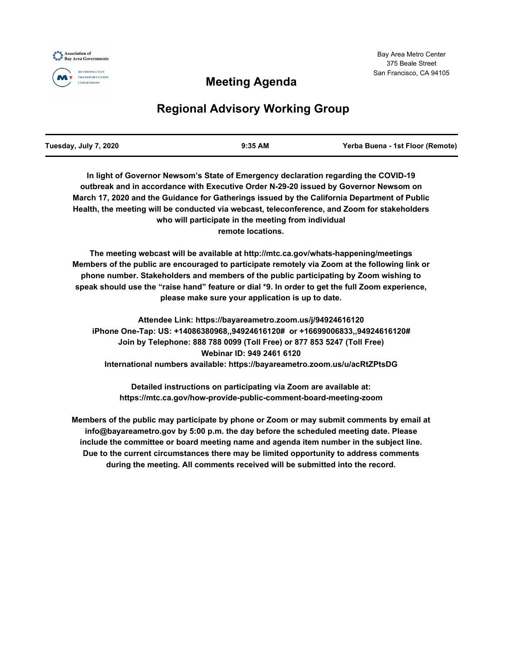

## **Meeting Agenda**

# **Regional Advisory Working Group**

| Tuesday, July 7, 2020 | $9:35$ AM | Yerba Buena - 1st Floor (Remote) |
|-----------------------|-----------|----------------------------------|
|                       |           |                                  |

**In light of Governor Newsom's State of Emergency declaration regarding the COVID-19 outbreak and in accordance with Executive Order N-29-20 issued by Governor Newsom on March 17, 2020 and the Guidance for Gatherings issued by the California Department of Public Health, the meeting will be conducted via webcast, teleconference, and Zoom for stakeholders who will participate in the meeting from individual remote locations.**

**The meeting webcast will be available at http://mtc.ca.gov/whats-happening/meetings Members of the public are encouraged to participate remotely via Zoom at the following link or phone number. Stakeholders and members of the public participating by Zoom wishing to speak should use the "raise hand" feature or dial \*9. In order to get the full Zoom experience, please make sure your application is up to date.**

**Attendee Link: https://bayareametro.zoom.us/j/94924616120 iPhone One-Tap: US: +14086380968,,94924616120# or +16699006833,,94924616120# Join by Telephone: 888 788 0099 (Toll Free) or 877 853 5247 (Toll Free) Webinar ID: 949 2461 6120 International numbers available: https://bayareametro.zoom.us/u/acRtZPtsDG**

**Detailed instructions on participating via Zoom are available at: https://mtc.ca.gov/how-provide-public-comment-board-meeting-zoom**

**Members of the public may participate by phone or Zoom or may submit comments by email at info@bayareametro.gov by 5:00 p.m. the day before the scheduled meeting date. Please include the committee or board meeting name and agenda item number in the subject line. Due to the current circumstances there may be limited opportunity to address comments during the meeting. All comments received will be submitted into the record.**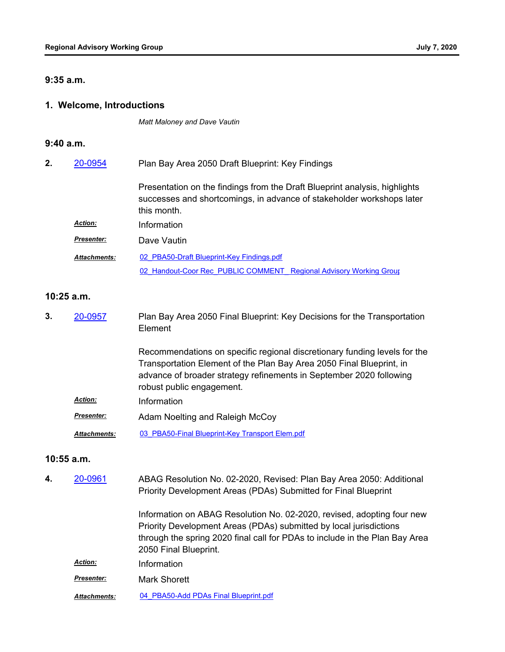#### **9:35 a.m.**

#### **1. Welcome, Introductions**

*Matt Maloney and Dave Vautin*

#### **9:40 a.m.**

| 2. | 20-0954             | Plan Bay Area 2050 Draft Blueprint: Key Findings                                                                                                                   |  |
|----|---------------------|--------------------------------------------------------------------------------------------------------------------------------------------------------------------|--|
|    |                     | Presentation on the findings from the Draft Blueprint analysis, highlights<br>successes and shortcomings, in advance of stakeholder workshops later<br>this month. |  |
|    | <b>Action:</b>      | Information                                                                                                                                                        |  |
|    | <b>Presenter:</b>   | Dave Vautin                                                                                                                                                        |  |
|    | <b>Attachments:</b> | 02 PBA50-Draft Blueprint-Key Findings.pdf                                                                                                                          |  |
|    |                     | 02 Handout-Coor Rec PUBLIC COMMENT Regional Advisory Working Group                                                                                                 |  |

#### **10:25 a.m.**

Plan Bay Area 2050 Final Blueprint: Key Decisions for the Transportation Element **3.** [20-0957](http://mtc.legistar.com/gateway.aspx?m=l&id=/matter.aspx?key=20821)

> Recommendations on specific regional discretionary funding levels for the Transportation Element of the Plan Bay Area 2050 Final Blueprint, in advance of broader strategy refinements in September 2020 following robust public engagement.

- *Action:* Information
- Adam Noelting and Raleigh McCoy *Presenter:*
- *Attachments:* [03\\_PBA50-Final Blueprint-Key Transport Elem.pdf](http://mtc.legistar.com/gateway.aspx?M=F&ID=04e2bfe4-5449-442f-89ca-e3c371b09867.pdf)

#### **10:55 a.m.**

ABAG Resolution No. 02-2020, Revised: Plan Bay Area 2050: Additional Priority Development Areas (PDAs) Submitted for Final Blueprint **4.** [20-0961](http://mtc.legistar.com/gateway.aspx?m=l&id=/matter.aspx?key=20825)

> Information on ABAG Resolution No. 02-2020, revised, adopting four new Priority Development Areas (PDAs) submitted by local jurisdictions through the spring 2020 final call for PDAs to include in the Plan Bay Area 2050 Final Blueprint.

- **Presenter:** Mark Shorett
- *Attachments:* [04\\_PBA50-Add PDAs Final Blueprint.pdf](http://mtc.legistar.com/gateway.aspx?M=F&ID=2a6a0e8b-9146-4a4c-99ae-5ffe671c02e2.pdf)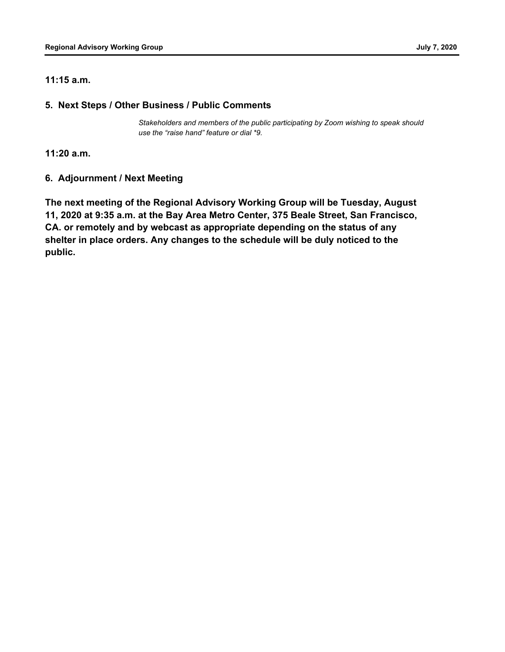### **11:15 a.m.**

## **5. Next Steps / Other Business / Public Comments**

*Stakeholders and members of the public participating by Zoom wishing to speak should use the "raise hand" feature or dial \*9.*

**11:20 a.m.**

## **6. Adjournment / Next Meeting**

**The next meeting of the Regional Advisory Working Group will be Tuesday, August 11, 2020 at 9:35 a.m. at the Bay Area Metro Center, 375 Beale Street, San Francisco, CA. or remotely and by webcast as appropriate depending on the status of any shelter in place orders. Any changes to the schedule will be duly noticed to the public.**